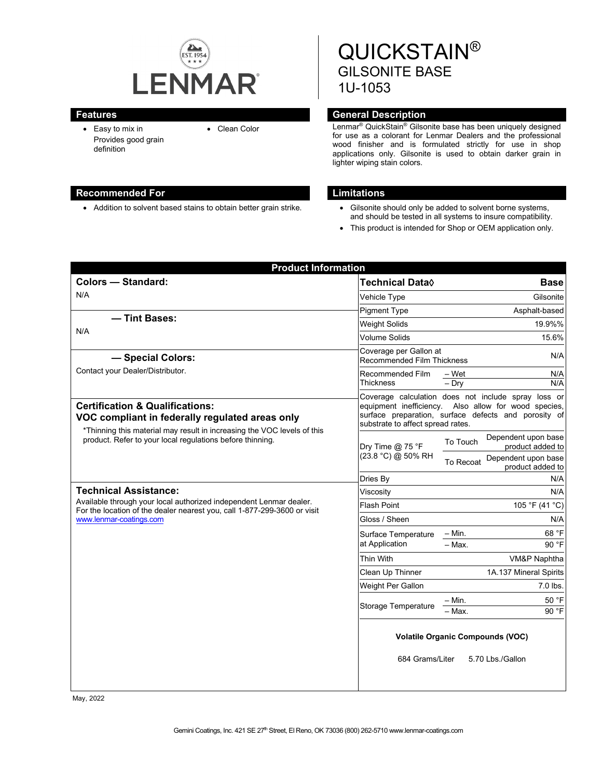

• Easy to mix in Provides good grain definition

## **Recommended For Limitations**

• Addition to solvent based stains to obtain better grain strike. • Gilsonite should only be added to solvent borne systems,

QUICKSTAIN® GILSONITE BASE 1U-1053

# **Features General Description**

• Clean Color Lenmar<sup>®</sup> QuickStain<sup>®</sup> Gilsonite base has been uniquely designed for use as a colorant for Lenmar Dealers and the professional wood finisher and is formulated strictly for use in shop applications only. Gilsonite is used to obtain darker grain in lighter wiping stain colors.

- and should be tested in all systems to insure compatibility.
- This product is intended for Shop or OEM application only.

| <b>Product Information</b>                                                                                                                                                                                                            |                                                                                |                                                                                                                                                                     |
|---------------------------------------------------------------------------------------------------------------------------------------------------------------------------------------------------------------------------------------|--------------------------------------------------------------------------------|---------------------------------------------------------------------------------------------------------------------------------------------------------------------|
| <b>Colors - Standard:</b>                                                                                                                                                                                                             | Technical Data <b>◊</b>                                                        | <b>Base</b>                                                                                                                                                         |
| N/A                                                                                                                                                                                                                                   | Vehicle Type                                                                   | Gilsonite                                                                                                                                                           |
|                                                                                                                                                                                                                                       | <b>Pigment Type</b>                                                            | Asphalt-based                                                                                                                                                       |
| - Tint Bases:<br>N/A                                                                                                                                                                                                                  | <b>Weight Solids</b>                                                           | 19.9%%                                                                                                                                                              |
|                                                                                                                                                                                                                                       | Volume Solids                                                                  | 15.6%                                                                                                                                                               |
| - Special Colors:<br>Contact your Dealer/Distributor.                                                                                                                                                                                 | Coverage per Gallon at<br>Recommended Film Thickness                           | N/A                                                                                                                                                                 |
|                                                                                                                                                                                                                                       | Recommended Film<br>Thickness                                                  | – Wet<br>N/A<br>N/A<br>$-$ Dry                                                                                                                                      |
| <b>Certification &amp; Qualifications:</b><br>VOC compliant in federally regulated areas only<br>*Thinning this material may result in increasing the VOC levels of this<br>product. Refer to your local regulations before thinning. | substrate to affect spread rates.                                              | Coverage calculation does not include spray loss or<br>equipment inefficiency. Also allow for wood species,<br>surface preparation, surface defects and porosity of |
|                                                                                                                                                                                                                                       | Dry Time $@$ 75 °F<br>(23.8 °C) @ 50% RH                                       | Dependent upon base<br>To Touch<br>product added to                                                                                                                 |
|                                                                                                                                                                                                                                       |                                                                                | Dependent upon base<br>To Recoat<br>product added to                                                                                                                |
|                                                                                                                                                                                                                                       | Dries By                                                                       | N/A                                                                                                                                                                 |
| <b>Technical Assistance:</b><br>Available through your local authorized independent Lenmar dealer.<br>For the location of the dealer nearest you, call 1-877-299-3600 or visit<br>www.lenmar-coatings.com                             | Viscositv                                                                      | N/A                                                                                                                                                                 |
|                                                                                                                                                                                                                                       | Flash Point                                                                    | 105 °F (41 °C)                                                                                                                                                      |
|                                                                                                                                                                                                                                       | Gloss / Sheen                                                                  | N/A                                                                                                                                                                 |
|                                                                                                                                                                                                                                       | Surface Temperature<br>at Application                                          | 68 °F<br>– Min.                                                                                                                                                     |
|                                                                                                                                                                                                                                       |                                                                                | 90 °F<br>$-$ Max.                                                                                                                                                   |
|                                                                                                                                                                                                                                       | Thin With                                                                      | VM&P Naphtha                                                                                                                                                        |
|                                                                                                                                                                                                                                       | Clean Up Thinner                                                               | 1A.137 Mineral Spirits                                                                                                                                              |
|                                                                                                                                                                                                                                       | Weight Per Gallon                                                              | $7.0$ lbs.                                                                                                                                                          |
|                                                                                                                                                                                                                                       | <b>Storage Temperature</b>                                                     | $- Min.$<br>50 °F                                                                                                                                                   |
|                                                                                                                                                                                                                                       |                                                                                | 90 °F<br>- Max.                                                                                                                                                     |
|                                                                                                                                                                                                                                       | <b>Volatile Organic Compounds (VOC)</b><br>684 Grams/Liter<br>5.70 Lbs./Gallon |                                                                                                                                                                     |
|                                                                                                                                                                                                                                       |                                                                                |                                                                                                                                                                     |

May, 2022